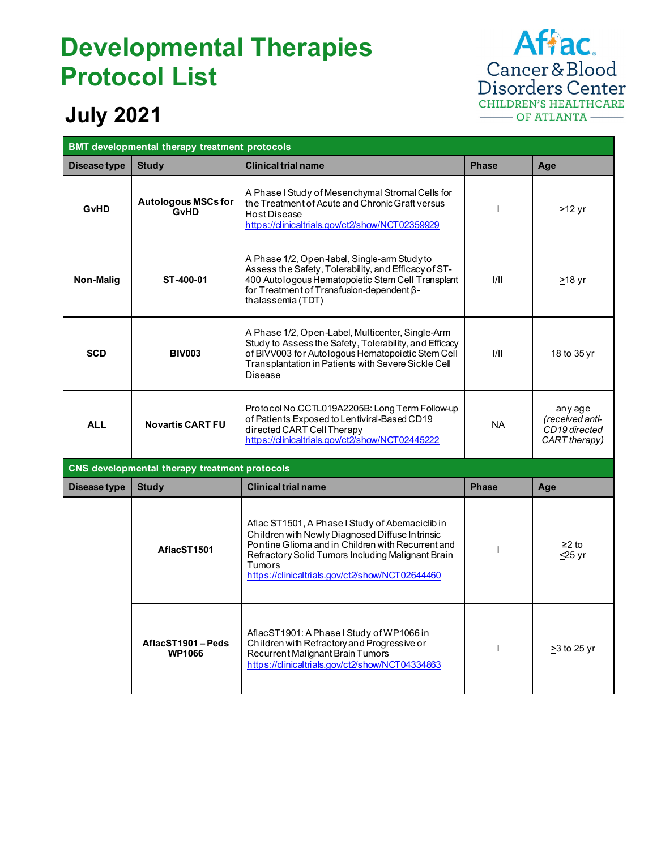## **Developmental Therapies Protocol List**



## **July 2021**

| <b>BMT</b> developmental therapy treatment protocols |                                               |                                                                                                                                                                                                                                                                           |              |                                                              |
|------------------------------------------------------|-----------------------------------------------|---------------------------------------------------------------------------------------------------------------------------------------------------------------------------------------------------------------------------------------------------------------------------|--------------|--------------------------------------------------------------|
| Disease type                                         | <b>Study</b>                                  | <b>Clinical trial name</b>                                                                                                                                                                                                                                                | <b>Phase</b> | Age                                                          |
| <b>G</b> vHD                                         | <b>Autologous MSCs for</b><br><b>GvHD</b>     | A Phase I Study of Mesenchymal Stromal Cells for<br>the Treatment of Acute and Chronic Graft versus<br>Host Disease<br>https://clinicaltrials.gov/ct2/show/NCT02359929                                                                                                    | ı            | >12 yr                                                       |
| Non-Malig                                            | ST-400-01                                     | A Phase 1/2, Open-label, Single-arm Study to<br>Assess the Safety, Tolerability, and Efficacy of ST-<br>400 Autologous Hematopoietic Stem Cell Transplant<br>for Treatment of Transfusion-dependent $\beta$ -<br>thalassemia (TDT)                                        | 1/11         | <u>&gt;</u> 18 yr                                            |
| <b>SCD</b>                                           | <b>BIV003</b>                                 | A Phase 1/2, Open-Label, Multicenter, Single-Arm<br>Study to Assess the Safety, Tolerability, and Efficacy<br>of BIVV003 for Autologous Hematopoietic Stem Cell<br>Transplantation in Patients with Severe Sickle Cell<br>Disease                                         | 1/11         | 18 to 35 yr                                                  |
| <b>ALL</b>                                           | <b>Novartis CART FU</b>                       | Protocol No.CCTL019A2205B: Long Term Follow-up<br>of Patients Exposed to Lentiviral-Based CD19<br>directed CART Cell Therapy<br>https://clinicaltrials.gov/ct2/show/NCT02445222                                                                                           | <b>NA</b>    | any age<br>(received anti-<br>CD19 directed<br>CART therapy) |
|                                                      | CNS developmental therapy treatment protocols |                                                                                                                                                                                                                                                                           |              |                                                              |
| Disease type                                         | <b>Study</b>                                  | <b>Clinical trial name</b>                                                                                                                                                                                                                                                | <b>Phase</b> | Age                                                          |
|                                                      | AflacST1501                                   | Aflac ST1501, A Phase I Study of Abemaciclib in<br>Children with Newly Diagnosed Diffuse Intrinsic<br>Pontine Glioma and in Children with Recurrent and<br>Refractory Solid Tumors Including Malignant Brain<br>Tumors<br>https://clinicaltrials.gov/ct2/show/NCT02644460 | J.           | $≥2$ to<br><u>&lt;</u> 25 yr                                 |
|                                                      | AflacST1901-Peds<br><b>WP1066</b>             | AflacST1901: A Phase I Study of WP1066 in<br>Children with Refractory and Progressive or<br>Recurrent Malignant Brain Tumors<br>https://clinicaltrials.gov/ct2/show/NCT04334863                                                                                           | ı            | >3 to 25 yr                                                  |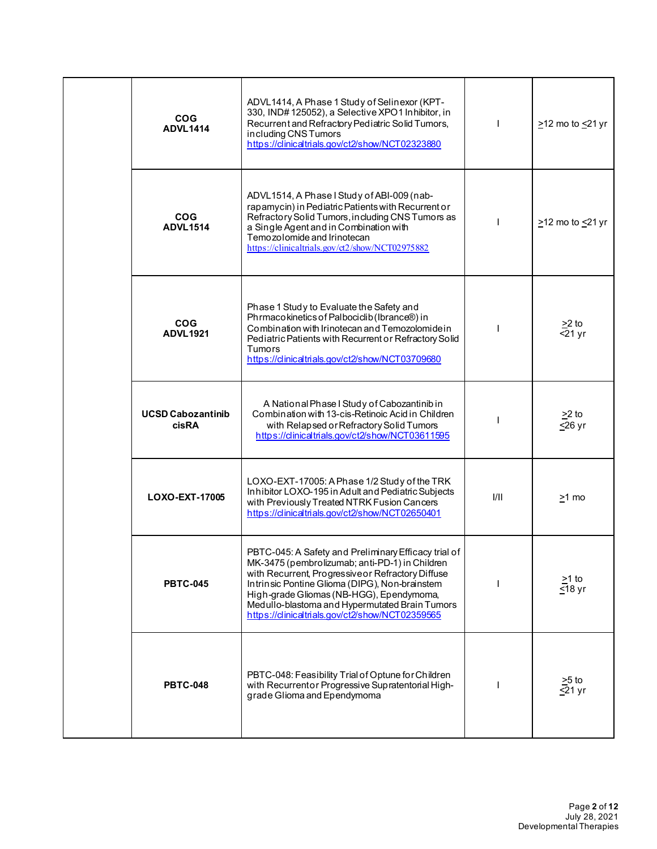| <b>COG</b><br><b>ADVL1414</b>            | ADVL1414, A Phase 1 Study of Selinexor (KPT-<br>330, IND#125052), a Selective XPO1 Inhibitor, in<br>Recurrent and Refractory Pediatric Solid Tumors,<br>including CNS Tumors<br>https://clinicaltrials.gov/ct2/show/NCT02323880                                                                                                                                |      | $\geq$ 12 mo to $\leq$ 21 yr         |
|------------------------------------------|----------------------------------------------------------------------------------------------------------------------------------------------------------------------------------------------------------------------------------------------------------------------------------------------------------------------------------------------------------------|------|--------------------------------------|
| <b>COG</b><br><b>ADVL1514</b>            | ADVL1514, A Phase I Study of ABI-009 (nab-<br>rapamycin) in Pediatric Patients with Recurrent or<br>Refractory Solid Tumors, including CNS Tumors as<br>a Single Agent and in Combination with<br>Temozolomide and Irinotecan<br>https://clinicaltrials.gov/ct2/show/NCT02975882                                                                               |      | $\geq$ 12 mo to $\leq$ 21 yr         |
| COG<br><b>ADVL1921</b>                   | Phase 1 Study to Evaluate the Safety and<br>Phrmacokinetics of Palbociclib (Ibrance®) in<br>Combination with Irinotecan and Temozolomide in<br>Pediatric Patients with Recurrent or Refractory Solid<br><b>Tumors</b><br>https://clinicaltrials.gov/ct2/show/NCT03709680                                                                                       |      | $\geq$ to<br>$\overline{5}$ 21 yr    |
| <b>UCSD Cabozantinib</b><br><b>cisRA</b> | A National Phase I Study of Cabozantinib in<br>Combination with 13-cis-Retinoic Acid in Children<br>with Relapsed or Refractory Solid Tumors<br>https://clinicaltrials.gov/ct2/show/NCT03611595                                                                                                                                                                |      | $\geq$ 2 to<br>$≤26$ yr              |
| LOXO-EXT-17005                           | LOXO-EXT-17005: A Phase 1/2 Study of the TRK<br>Inhibitor LOXO-195 in Adult and Pediatric Subjects<br>with Previously Treated NTRK Fusion Cancers<br>https://clinicaltrials.gov/ct2/show/NCT02650401                                                                                                                                                           | I/II | $>1$ mo                              |
| <b>PBTC-045</b>                          | PBTC-045: A Safety and Preliminary Efficacy trial of<br>MK-3475 (pembrolizumab; anti-PD-1) in Children<br>with Recurrent, Progressive or Refractory Diffuse<br>Intrinsic Pontine Glioma (DIPG), Non-brainstem<br>High-grade Gliomas (NB-HGG), Ependymoma,<br>Medullo-blastoma and Hypermutated Brain Tumors<br>https://clinicaltrials.gov/ct2/show/NCT02359565 |      | $\geq$ 1 to<br>$\overline{\le}18$ yr |
| <b>PBTC-048</b>                          | PBTC-048: Feasibility Trial of Optune for Children<br>with Recurrentor Progressive Supratentorial High-<br>grade Glioma and Ependymoma                                                                                                                                                                                                                         |      | $\geq 5$ to<br>$\leq$ 21 yr          |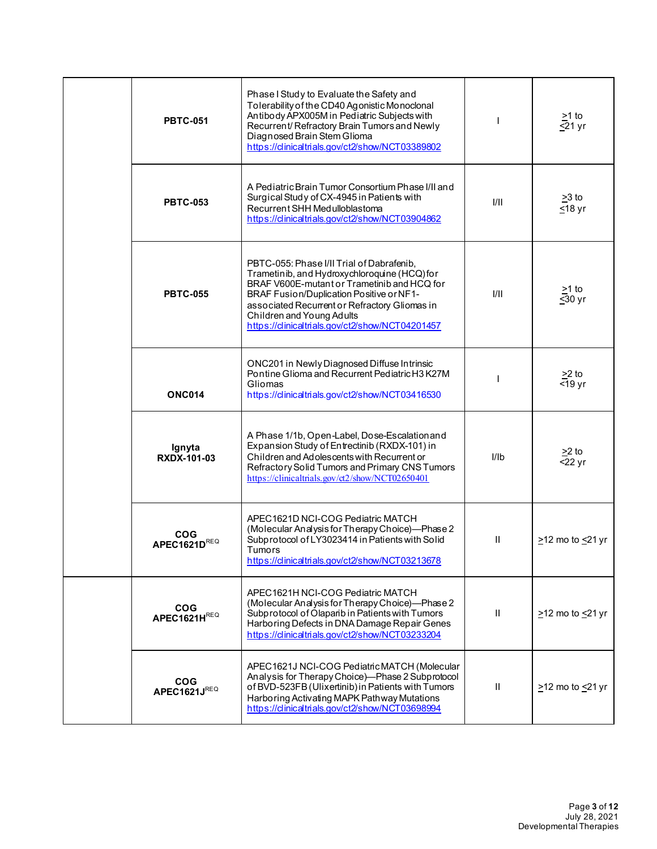|  | <b>PBTC-051</b>              | Phase I Study to Evaluate the Safety and<br>Tolerability of the CD40 Agonistic Monoclonal<br>Antibody APX005M in Pediatric Subjects with<br>Recurrent/Refractory Brain Tumors and Newly<br>Diagnosed Brain Stem Glioma<br>https://clinicaltrials.gov/ct2/show/NCT03389802                                             |              | $\geq$ 1 to<br>$521 \text{ yr}$   |
|--|------------------------------|-----------------------------------------------------------------------------------------------------------------------------------------------------------------------------------------------------------------------------------------------------------------------------------------------------------------------|--------------|-----------------------------------|
|  | <b>PBTC-053</b>              | A Pediatric Brain Tumor Consortium Phase I/II and<br>Surgical Study of CX-4945 in Patients with<br>Recurrent SHH Med ulloblastoma<br>https://clinicaltrials.gov/ct2/show/NCT03904862                                                                                                                                  | VII          | $\geq$ 3 to<br>$≤18$ yr           |
|  | <b>PBTC-055</b>              | PBTC-055: Phase I/II Trial of Dabrafenib,<br>Trametinib, and Hydroxychloroquine (HCQ) for<br>BRAF V600E-mutant or Trametinib and HCQ for<br>BRAF Fusion/Duplication Positive or NF1-<br>associated Recurrent or Refractory Gliomas in<br>Children and Young Adults<br>https://clinicaltrials.gov/ct2/show/NCT04201457 | 1/11         | $\geq$ 1 to<br>$\overline{50}$ yr |
|  | <b>ONC014</b>                | ONC201 in Newly Diagnosed Diffuse Intrinsic<br>Pontine Glioma and Recurrent Pediatric H3 K27M<br>Gliomas<br>https://clinicaltrials.gov/ct2/show/NCT03416530                                                                                                                                                           |              | $\geq$ to<br>$\overline{5}$ 19 yr |
|  | Ignyta<br><b>RXDX-101-03</b> | A Phase 1/1b, Open-Label, Dose-Escalationand<br>Expansion Study of Entrectinib (RXDX-101) in<br>Children and Adolescents with Recurrent or<br>Refractory Solid Tumors and Primary CNS Tumors<br>https://clinicaltrials.gov/ct2/show/NCT02650401                                                                       | I/Ib         | $\geq$ 2 to<br>$22$ yr            |
|  | <b>COG</b><br>APEC1621DREQ   | APEC1621D NCI-COG Pediatric MATCH<br>(Molecular Analysis for Therapy Choice)-Phase 2<br>Subprotocol of LY3023414 in Patients with Solid<br><b>Tumors</b><br>https://clinicaltrials.gov/ct2/show/NCT03213678                                                                                                           | Ш            | $\geq$ 12 mo to $\leq$ 21 yr      |
|  | <b>COG</b><br>APEC1621HREQ   | APEC1621H NCI-COG Pediatric MATCH<br>(Molecular Analysis for Therapy Choice)-Phase 2<br>Subprotocol of Olaparib in Patients with Tumors<br>Harboring Defects in DNA Damage Repair Genes<br>https://clinicaltrials.gov/ct2/show/NCT03233204                                                                            | $\mathbf{H}$ | $\geq$ 12 mo to $\leq$ 21 yr      |
|  | <b>COG</b><br>APEC1621JREQ   | APEC1621J NCI-COG Pediatric MATCH (Molecular<br>Analysis for Therapy Choice)-Phase 2 Subprotocol<br>of BVD-523FB (Ulixertinib) in Patients with Tumors<br>Harboring Activating MAPK Pathway Mutations<br>https://clinicaltrials.gov/ct2/show/NCT03698994                                                              | Ш            | $\geq$ 12 mo to $\leq$ 21 yr      |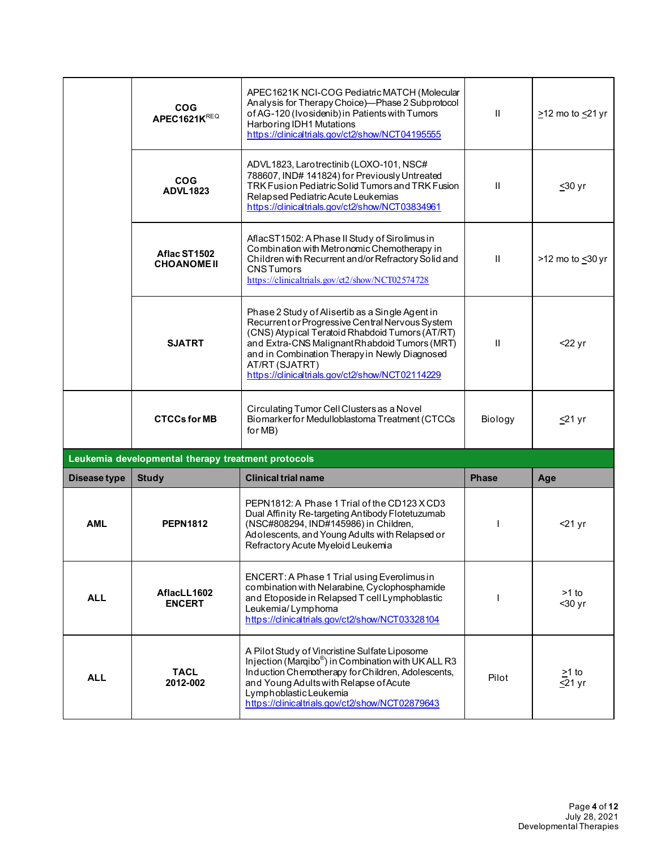|                     | <b>COG</b><br><b>APEC1621KREQ</b>                  | APEC1621K NCI-COG Pediatric MATCH (Molecular<br>Analysis for Therapy Choice)-Phase 2 Subprotocol<br>of AG-120 (Ivosidenib) in Patients with Tumors<br>Harboring IDH1 Mutations<br>https://dinicaltrials.gov/ct2/show/NCT04195555                                                                                             | Ш.           | $\geq$ 12 mo to $\leq$ 21 yr |
|---------------------|----------------------------------------------------|------------------------------------------------------------------------------------------------------------------------------------------------------------------------------------------------------------------------------------------------------------------------------------------------------------------------------|--------------|------------------------------|
|                     | <b>COG</b><br><b>ADVL1823</b>                      | ADVL1823, Larotrectinib (LOXO-101, NSC#<br>788607, IND# 141824) for Previously Untreated<br>TRK Fusion Pediatric Solid Tumors and TRK Fusion<br>Relapsed Pediatric Acute Leukemias<br>https://clinicaltrials.gov/ct2/show/NCT03834961                                                                                        | $\mathbf{I}$ | <u>&lt;</u> 30 yr            |
|                     | Aflac ST1502<br><b>CHOANOME II</b>                 | AflacST1502: A Phase II Study of Sirolimus in<br>Combination with Metronomic Chemotherapy in<br>Children with Recurrent and/or Refractory Solid and<br><b>CNSTumors</b><br>https://clinicaltrials.gov/ct2/show/NCT02574728                                                                                                   | Ħ.           | >12 mo to <30 yr             |
|                     | <b>SJATRT</b>                                      | Phase 2 Study of Alisertib as a Single Agent in<br>Recurrent or Progressive Central Nervous System<br>(CNS) Atypical Teratoid Rhabdoid Tumors (AT/RT)<br>and Extra-CNS Malignant Rhabdoid Tumors (MRT)<br>and in Combination Therapy in Newly Diagnosed<br>AT/RT (SJATRT)<br>https://clinicaltrials.gov/ct2/show/NCT02114229 | $\mathbf{H}$ | $22 \,\mathrm{yr}$           |
|                     | <b>CTCCs for MB</b>                                | Circulating Tumor Cell Clusters as a Novel<br>Biomarkerfor Medulloblastoma Treatment (CTCCs<br>for MB)                                                                                                                                                                                                                       | Biology      | $≤21$ yr                     |
|                     | Leukemia developmental therapy treatment protocols |                                                                                                                                                                                                                                                                                                                              |              |                              |
| <b>Disease type</b> | <b>Study</b>                                       | <b>Clinical trial name</b>                                                                                                                                                                                                                                                                                                   | <b>Phase</b> | Age                          |
| AML                 | <b>PEPN1812</b>                                    | PEPN1812: A Phase 1 Trial of the CD123 X CD3<br>Dual Affinity Re-targeting Antibody Flotetuzumab<br>(NSC#808294, IND#145986) in Children,<br>Adolescents, and Young Adults with Relapsed or<br>Refractory Acute Myeloid Leukemia                                                                                             |              | $<$ 21 yr                    |
| <b>ALL</b>          | AflacLL1602<br><b>ENCERT</b>                       | ENCERT: A Phase 1 Trial using Everolimus in<br>combination with Nelarabine, Cyclophosphamide<br>and Etoposide in Relapsed T cell Lymphoblastic<br>Leukemia/Lymphoma<br>https://clinicaltrials.gov/ct2/show/NCT03328104                                                                                                       |              | $>1$ to<br>$30$ yr           |
| <b>ALL</b>          | <b>TACL</b><br>2012-002                            | A Pilot Study of Vincristine Sulfate Liposome<br>Injection (Marqibo <sup>®</sup> ) in Combination with UK ALL R3<br>Induction Chemotherapy for Children, Adolescents,<br>and Young Adults with Relapse of Acute<br>Lymphoblastic Leukemia<br>https://clinicaltrials.gov/ct2/show/NCT02879643                                 | Pilot        | $>1$ to<br>$≤21$ yr          |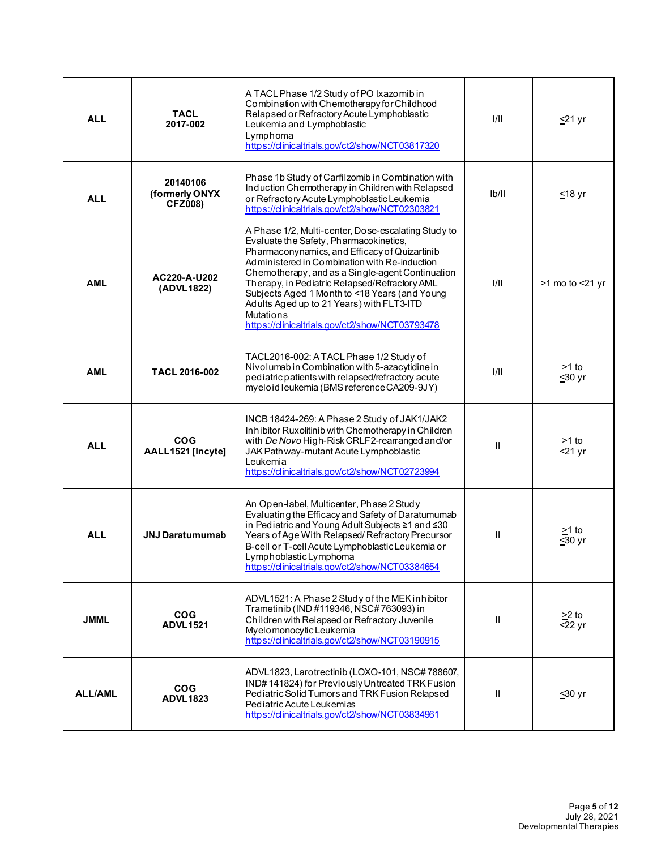| <b>ALL</b>     | TACL<br>2017-002                             | A TACL Phase 1/2 Study of PO Ixazomib in<br>Combination with Chemotherapy for Childhood<br>Relapsed or Refractory Acute Lymphoblastic<br>Leukemia and Lymphoblastic<br>Lymphoma<br>https://clinicaltrials.gov/ct2/show/NCT03817320                                                                                                                                                                                                                                        | 1/11         | <u>≤</u> 21 yr        |
|----------------|----------------------------------------------|---------------------------------------------------------------------------------------------------------------------------------------------------------------------------------------------------------------------------------------------------------------------------------------------------------------------------------------------------------------------------------------------------------------------------------------------------------------------------|--------------|-----------------------|
| <b>ALL</b>     | 20140106<br>(formerly ONYX<br><b>CFZ008)</b> | Phase 1b Study of Carfilzomib in Combination with<br>Induction Chemotherapy in Children with Relapsed<br>or Refractory Acute Lymphoblastic Leukemia<br>https://clinicaltrials.gov/ct2/show/NCT02303821                                                                                                                                                                                                                                                                    | Ib/II        | ≤18 yr                |
| <b>AML</b>     | AC220-A-U202<br>(ADVL1822)                   | A Phase 1/2, Multi-center, Dose-escalating Study to<br>Evaluate the Safety, Pharmacokinetics,<br>Pharmaconynamics, and Efficacy of Quizartinib<br>Administered in Combination with Re-induction<br>Chemotherapy, and as a Single-agent Continuation<br>Therapy, in Pediatric Relapsed/Refractory AML<br>Subjects Aged 1 Month to <18 Years (and Young<br>Adults Aged up to 21 Years) with FLT3-ITD<br><b>Mutations</b><br>https://clinicaltrials.gov/ct2/show/NCT03793478 | 1/11         | $\geq$ 1 mo to <21 yr |
| <b>AML</b>     | <b>TACL 2016-002</b>                         | TACL2016-002: A TACL Phase 1/2 Study of<br>Nivolumab in Combination with 5-azacytidine in<br>pediatric patients with relapsed/refractory acute<br>myeloid leukemia (BMS reference CA209-9JY)                                                                                                                                                                                                                                                                              | 1/11         | $>1$ to<br>$≤30$ yr   |
| <b>ALL</b>     | <b>COG</b><br>AALL1521 [Incyte]              | INCB 18424-269: A Phase 2 Study of JAK1/JAK2<br>Inhibitor Ruxolitinib with Chemotherapy in Children<br>with De Novo High-Risk CRLF2-rearranged and/or<br>JAK Pathway-mutant Acute Lymphoblastic<br>Leukemia<br>https://clinicaltrials.gov/ct2/show/NCT02723994                                                                                                                                                                                                            | Ш            | $>1$ to<br>$≤21$ yr   |
| <b>ALL</b>     | <b>JNJ Daratumumab</b>                       | An Open-label, Multicenter, Phase 2 Study<br>Evaluating the Efficacy and Safety of Daratumumab<br>in Pediatric and Young Adult Subjects ≥1 and ≤30<br>Years of Age With Relapsed/Refractory Precursor<br>B-cell or T-cell Acute Lymphoblastic Leukemia or<br>Lymphoblastic Lymphoma<br>https://clinicaltrials.gov/ct2/show/NCT03384654                                                                                                                                    | Ш            | $>1$ to<br>$≤30$ yr   |
| <b>JMML</b>    | <b>COG</b><br><b>ADVL1521</b>                | ADVL1521: A Phase 2 Study of the MEK inhibitor<br>Trametinib (IND #119346, NSC# 763093) in<br>Children with Relapsed or Refractory Juvenile<br>Myelomonocytic Leukemia<br>https://clinicaltrials.gov/ct2/show/NCT03190915                                                                                                                                                                                                                                                 | Ш            | $>2$ to<br>$<$ 22 yr  |
| <b>ALL/AML</b> | <b>COG</b><br><b>ADVL1823</b>                | ADVL1823, Larotrectinib (LOXO-101, NSC#788607,<br>IND#141824) for Previously Untreated TRK Fusion<br>Pediatric Solid Tumors and TRK Fusion Relapsed<br>Pediatric Acute Leukemias<br>https://clinicaltrials.gov/ct2/show/NCT03834961                                                                                                                                                                                                                                       | $\mathbf{H}$ | <u>&lt;</u> 30 yr     |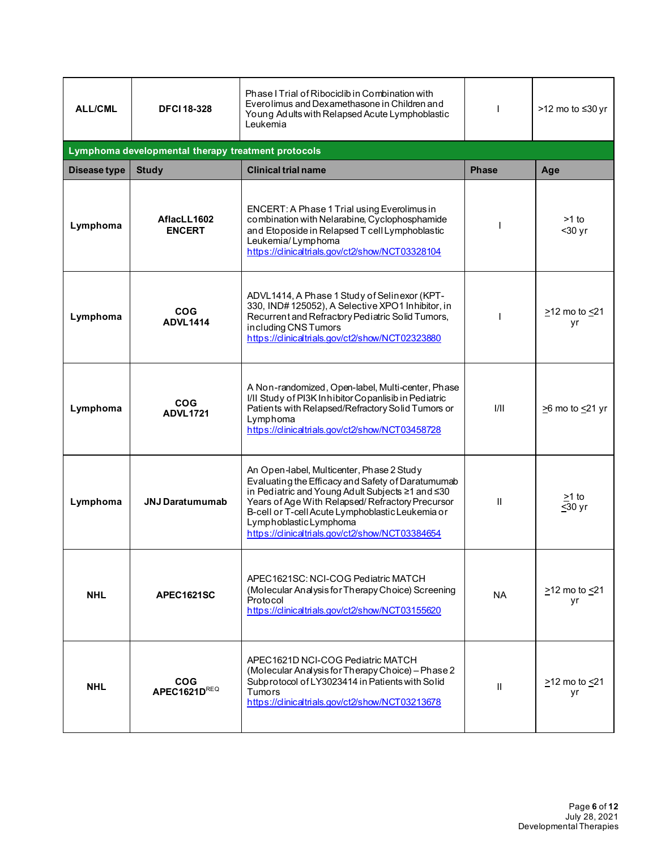| <b>ALL/CML</b> | <b>DFCI 18-328</b>                                 | Phase I Trial of Ribociclib in Combination with<br>Everolimus and Dexamethasone in Children and<br>Young Adults with Relapsed Acute Lymphoblastic<br>Leukemia                                                                                                                                                                          |              | >12 mo to ≤30 yr                |
|----------------|----------------------------------------------------|----------------------------------------------------------------------------------------------------------------------------------------------------------------------------------------------------------------------------------------------------------------------------------------------------------------------------------------|--------------|---------------------------------|
|                | Lymphoma developmental therapy treatment protocols |                                                                                                                                                                                                                                                                                                                                        |              |                                 |
| Disease type   | <b>Study</b>                                       | <b>Clinical trial name</b>                                                                                                                                                                                                                                                                                                             | <b>Phase</b> | Age                             |
| Lymphoma       | AflacLL1602<br><b>ENCERT</b>                       | ENCERT: A Phase 1 Trial using Everolimus in<br>combination with Nelarabine, Cyclophosphamide<br>and Etoposide in Relapsed T cell Lymphoblastic<br>Leukemia/Lymphoma<br>https://clinicaltrials.gov/ct2/show/NCT03328104                                                                                                                 |              | >1 to<br>$30$ yr                |
| Lymphoma       | <b>COG</b><br><b>ADVL1414</b>                      | ADVL1414, A Phase 1 Study of Selinexor (KPT-<br>330, IND#125052), A Selective XPO1 Inhibitor, in<br>Recurrent and Refractory Pediatric Solid Tumors,<br>including CNS Tumors<br>https://clinicaltrials.gov/ct2/show/NCT02323880                                                                                                        |              | >12 mo to <21<br>yr             |
| Lymphoma       | <b>COG</b><br><b>ADVL1721</b>                      | A Non-randomized, Open-label, Multi-center, Phase<br>I/II Study of PI3K Inhibitor Copanlisib in Pediatric<br>Patients with Relapsed/Refractory Solid Tumors or<br>Lymphoma<br>https://clinicaltrials.gov/ct2/show/NCT03458728                                                                                                          | 1/11         | $\geq$ 6 mo to $\leq$ 21 yr     |
| Lymphoma       | <b>JNJ Daratumumab</b>                             | An Open-label, Multicenter, Phase 2 Study<br>Evaluating the Efficacy and Safety of Daratumumab<br>in Pediatric and Young Adult Subjects ≥1 and ≤30<br>Years of Age With Relapsed/Refractory Precursor<br>B-cell or T-cell Acute Lymphoblastic Leukemia or<br>Lymphoblastic Lymphoma<br>https://clinicaltrials.gov/ct2/show/NCT03384654 | $\mathbf{H}$ | >1 to<br>$\leq 30$ yr           |
| <b>NHL</b>     | APEC1621SC                                         | APEC1621SC: NCI-COG Pediatric MATCH<br>(Molecular Analysis for Therapy Choice) Screening<br>Protocol<br>https://clinicaltrials.gov/ct2/show/NCT03155620                                                                                                                                                                                | NA.          | $\geq$ 12 mo to $\leq$ 21<br>yr |
| <b>NHL</b>     | <b>COG</b><br>APEC1621DREQ                         | APEC1621D NCI-COG Pediatric MATCH<br>(Molecular Analysis for Therapy Choice) - Phase 2<br>Subprotocol of LY3023414 in Patients with Solid<br><b>Tumors</b><br>https://clinicaltrials.gov/ct2/show/NCT03213678                                                                                                                          | $\mathbf{H}$ | $>12$ mo to $<21$<br>yr         |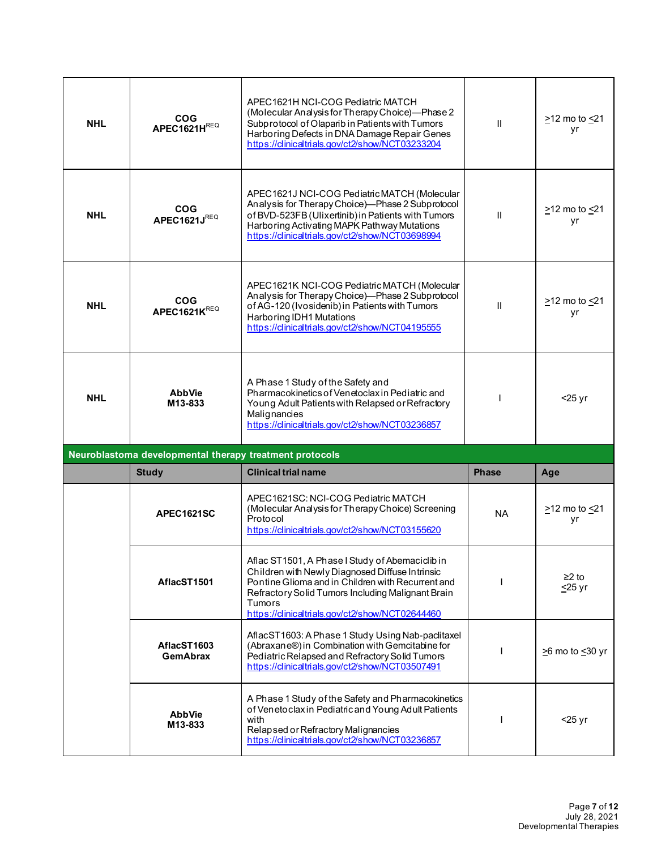| <b>NHL</b> | <b>COG</b><br>APEC1621HREQ                              | APEC1621H NCI-COG Pediatric MATCH<br>(Molecular Analysis for Therapy Choice)-Phase 2<br>Subprotocol of Olaparib in Patients with Tumors<br>Harboring Defects in DNA Damage Repair Genes<br>https://clinicaltrials.gov/ct2/show/NCT03233204                                | $\mathbf{H}$ | $\geq$ 12 mo to $\leq$ 21<br>yr |
|------------|---------------------------------------------------------|---------------------------------------------------------------------------------------------------------------------------------------------------------------------------------------------------------------------------------------------------------------------------|--------------|---------------------------------|
| <b>NHL</b> | <b>COG</b><br>APEC1621JREQ                              | APEC1621J NCI-COG Pediatric MATCH (Molecular<br>Analysis for Therapy Choice)-Phase 2 Subprotocol<br>of BVD-523FB (Ulixertinib) in Patients with Tumors<br>Harboring Activating MAPK Pathway Mutations<br>https://clinicaltrials.gov/ct2/show/NCT03698994                  | $\mathbf{H}$ | $\geq$ 12 mo to $\leq$ 21<br>yr |
| <b>NHL</b> | <b>COG</b><br>APEC1621KREQ                              | APEC1621K NCI-COG Pediatric MATCH (Molecular<br>Analysis for Therapy Choice)-Phase 2 Subprotocol<br>of AG-120 (Ivosidenib) in Patients with Tumors<br>Harboring IDH1 Mutations<br>https://clinicaltrials.gov/ct2/show/NCT04195555                                         | $\mathbf{H}$ | >12 mo to <21<br>уr             |
| <b>NHL</b> | <b>AbbVie</b><br>M13-833                                | A Phase 1 Study of the Safety and<br>Pharmacokinetics of Venetoclax in Pediatric and<br>Young Adult Patients with Relapsed or Refractory<br>Malignancies<br>https://clinicaltrials.gov/ct2/show/NCT03236857                                                               |              | $<$ 25 yr                       |
|            | Neuroblastoma developmental therapy treatment protocols |                                                                                                                                                                                                                                                                           |              |                                 |
|            | <b>Study</b>                                            | <b>Clinical trial name</b>                                                                                                                                                                                                                                                | <b>Phase</b> | Age                             |
|            | <b>APEC1621SC</b>                                       | APEC1621SC: NCI-COG Pediatric MATCH<br>(Molecular Analysis for Therapy Choice) Screening<br>Protocol<br>https://clinicaltrials.gov/ct2/show/NCT03155620                                                                                                                   | <b>NA</b>    | $\geq$ 12 mo to $\leq$ 21<br>yr |
|            | AflacST1501                                             | Aflac ST1501, A Phase I Study of Abemaciclib in<br>Children with Newly Diagnosed Diffuse Intrinsic<br>Pontine Glioma and in Children with Recurrent and<br>Refractory Solid Tumors Including Malignant Brain<br>Tumors<br>https://clinicaltrials.gov/ct2/show/NCT02644460 |              | ≥2 to<br>$\leq$ 25 yr           |
|            | AflacST1603<br><b>GemAbrax</b>                          | AflacST1603: A Phase 1 Study Using Nab-paclitaxel<br>(Abraxane®) in Combination with Gemcitabine for<br>Pediatric Relapsed and Refractory Solid Tumors<br>https://clinicaltrials.gov/ct2/show/NCT03507491                                                                 |              | $\geq$ 6 mo to $\leq$ 30 yr     |
|            |                                                         |                                                                                                                                                                                                                                                                           |              |                                 |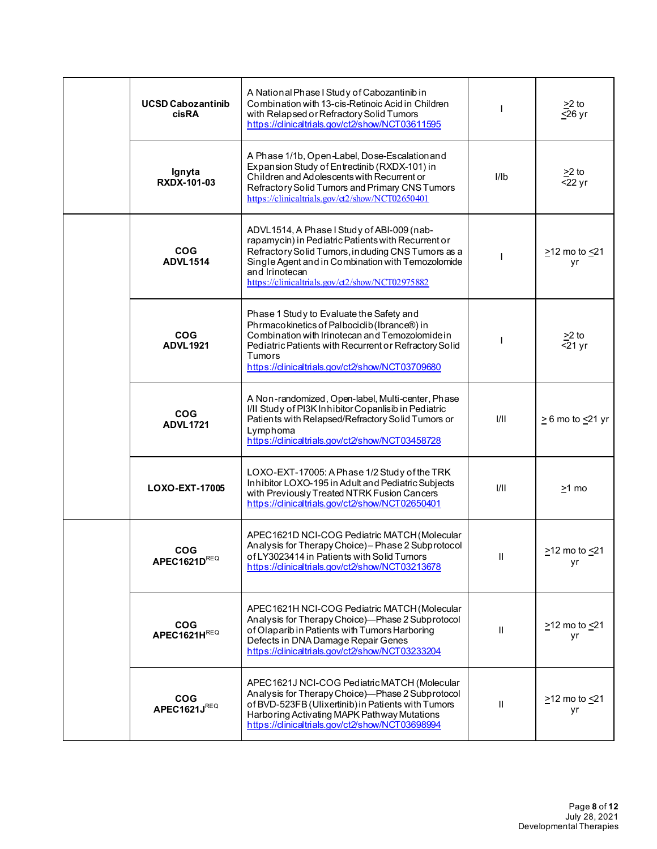|  | <b>UCSD Cabozantinib</b><br>cisRA | A National Phase I Study of Cabozantinib in<br>Combination with 13-cis-Retinoic Acid in Children<br>with Relapsed or Refractory Solid Tumors<br>https://clinicaltrials.gov/ct2/show/NCT03611595                                                                                  |              | $\geq$ 2 to<br>$\overline{\leq}26$ yr |
|--|-----------------------------------|----------------------------------------------------------------------------------------------------------------------------------------------------------------------------------------------------------------------------------------------------------------------------------|--------------|---------------------------------------|
|  | Ignyta<br><b>RXDX-101-03</b>      | A Phase 1/1b, Open-Label, Dose-Escalationand<br>Expansion Study of Entrectinib (RXDX-101) in<br>Children and Adolescents with Recurrent or<br>Refractory Solid Tumors and Primary CNS Tumors<br>https://clinicaltrials.gov/ct2/show/NCT02650401                                  | I/Ib         | $>2$ to<br>$22$ yr                    |
|  | <b>COG</b><br><b>ADVL1514</b>     | ADVL1514, A Phase I Study of ABI-009 (nab-<br>rapamycin) in Pediatric Patients with Recurrent or<br>Refractory Solid Tumors, including CNS Tumors as a<br>Single Agent and in Combination with Temozolomide<br>and Irinotecan<br>https://clinicaltrials.gov/ct2/show/NCT02975882 |              | ≥12 mo to <u>&lt;</u> 21<br>yr        |
|  | <b>COG</b><br><b>ADVL1921</b>     | Phase 1 Study to Evaluate the Safety and<br>Phrmacokinetics of Palbociclib (Ibrance®) in<br>Combination with Irinotecan and Temozolomide in<br>Pediatric Patients with Recurrent or Refractory Solid<br>Tumors<br>https://clinicaltrials.gov/ct2/show/NCT03709680                |              | $\geq$ 2 to<br>$\overline{5}$ 21 yr   |
|  | <b>COG</b><br><b>ADVL1721</b>     | A Non-randomized, Open-label, Multi-center, Phase<br>I/II Study of PI3K Inhibitor Copanlisib in Pediatric<br>Patients with Relapsed/Refractory Solid Tumors or<br>Lymphoma<br>https://clinicaltrials.gov/ct2/show/NCT03458728                                                    | 1/11         | $\geq$ 6 mo to $\leq$ 21 yr           |
|  | LOXO-EXT-17005                    | LOXO-EXT-17005: A Phase 1/2 Study of the TRK<br>Inhibitor LOXO-195 in Adult and Pediatric Subjects<br>with Previously Treated NTRK Fusion Cancers<br>https://clinicaltrials.gov/ct2/show/NCT02650401                                                                             | 1/11         | $>1$ mo                               |
|  | <b>COG</b><br>APEC1621DREQ        | APEC1621D NCI-COG Pediatric MATCH (Molecular<br>Analysis for Therapy Choice) - Phase 2 Subprotocol<br>of LY3023414 in Patients with Solid Tumors<br>https://clinicaltrials.gov/ct2/show/NCT03213678                                                                              | Ш            | $>12$ mo to $<21$<br>yr               |
|  | <b>COG</b><br>APEC1621HREQ        | APEC1621H NCI-COG Pediatric MATCH (Molecular<br>Analysis for Therapy Choice)-Phase 2 Subprotocol<br>of Olaparib in Patients with Tumors Harboring<br>Defects in DNA Damage Repair Genes<br>https://clinicaltrials.gov/ct2/show/NCT03233204                                       | $\mathbf{H}$ | $\geq$ 12 mo to $\leq$ 21<br>yr       |
|  | <b>COG</b><br>APEC1621JREQ        | APEC1621J NCI-COG Pediatric MATCH (Molecular<br>Analysis for Therapy Choice)-Phase 2 Subprotocol<br>of BVD-523FB (Ulixertinib) in Patients with Tumors<br>Harboring Activating MAPK Pathway Mutations<br>https://clinicaltrials.gov/ct2/show/NCT03698994                         | Ш            | $\geq$ 12 mo to $\leq$ 21<br>yr       |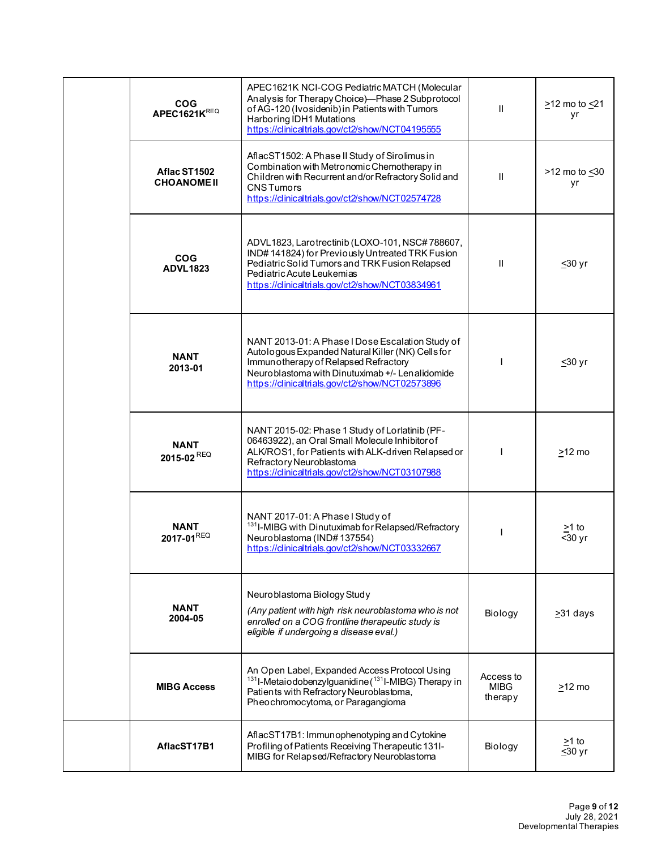| <b>COG</b><br>APEC1621KREQ         | APEC1621K NCI-COG Pediatric MATCH (Molecular<br>Analysis for Therapy Choice)-Phase 2 Subprotocol<br>of AG-120 (Ivosidenib) in Patients with Tumors<br>Harboring IDH1 Mutations<br>https://dinicaltrials.gov/ct2/show/NCT04195555                     | $\mathbf{H}$                 | $\geq$ 12 mo to $\leq$ 21<br>yr        |
|------------------------------------|------------------------------------------------------------------------------------------------------------------------------------------------------------------------------------------------------------------------------------------------------|------------------------------|----------------------------------------|
| Aflac ST1502<br><b>CHOANOME II</b> | AflacST1502: A Phase II Study of Sirolimus in<br>Combination with Metronomic Chemotherapy in<br>Children with Recurrent and/or Refractory Solid and<br><b>CNSTumors</b><br>https://clinicaltrials.gov/ct2/show/NCT02574728                           | $\mathbf{H}$                 | $>12$ mo to $\leq 30$<br>yr            |
| <b>COG</b><br><b>ADVL1823</b>      | ADVL1823, Larotrectinib (LOXO-101, NSC#788607,<br>IND#141824) for Previously Untreated TRK Fusion<br>Pediatric Solid Tumors and TRK Fusion Relapsed<br>Pediatric Acute Leukemias<br>https://clinicaltrials.gov/ct2/show/NCT03834961                  | Ш                            | <u>&lt;</u> 30 yr                      |
| <b>NANT</b><br>2013-01             | NANT 2013-01: A Phase I Dose Escalation Study of<br>Autologous Expanded Natural Killer (NK) Cells for<br>Immun otherapy of Relapsed Refractory<br>Neuroblastoma with Dinutuximab +/- Lenalidomide<br>https://clinicaltrials.gov/ct2/show/NCT02573896 |                              | $≤30$ yr                               |
| <b>NANT</b><br>2015-02 REQ         | NANT 2015-02: Phase 1 Study of Lorlatinib (PF-<br>06463922), an Oral Small Molecule Inhibitor of<br>ALK/ROS1, for Patients with ALK-driven Relapsed or<br>Refractory Neuroblastoma<br>https://clinicaltrials.gov/ct2/show/NCT03107988                |                              | $\geq$ 12 mo                           |
| <b>NANT</b><br>2017-01REQ          | NANT 2017-01: A Phase I Study of<br><sup>131</sup> I-MIBG with Dinutuximab for Relapsed/Refractory<br>Neuroblastoma (IND#137554)<br>https://clinicaltrials.gov/ct2/show/NCT03332667                                                                  |                              | <u>&gt;</u> 1 to<br>$\overline{30}$ yr |
| <b>NANT</b><br>2004-05             | Neuroblastoma Biology Study<br>(Any patient with high risk neuroblastoma who is not<br>enrolled on a COG frontline therapeutic study is<br>eligible if undergoing a disease eval.)                                                                   | Biology                      | $\geq$ 31 days                         |
| <b>MIBG Access</b>                 | An Open Label, Expanded Access Protocol Using<br><sup>131</sup> I-Metaiodobenzylguanidine ( <sup>131</sup> I-MIBG) Therapy in<br>Patients with Refractory Neuroblastoma,<br>Pheochromocytoma, or Paragangioma                                        | Access to<br>MIBG<br>therapy | $\geq$ 12 mo                           |
| AflacST17B1                        | AflacST17B1: Immunophenotyping and Cytokine<br>Profiling of Patients Receiving Therapeutic 131I-<br>MIBG for Relapsed/Refractory Neuroblastoma                                                                                                       | Biology                      | >1 to<br>$\overline{\leq}30$ yr        |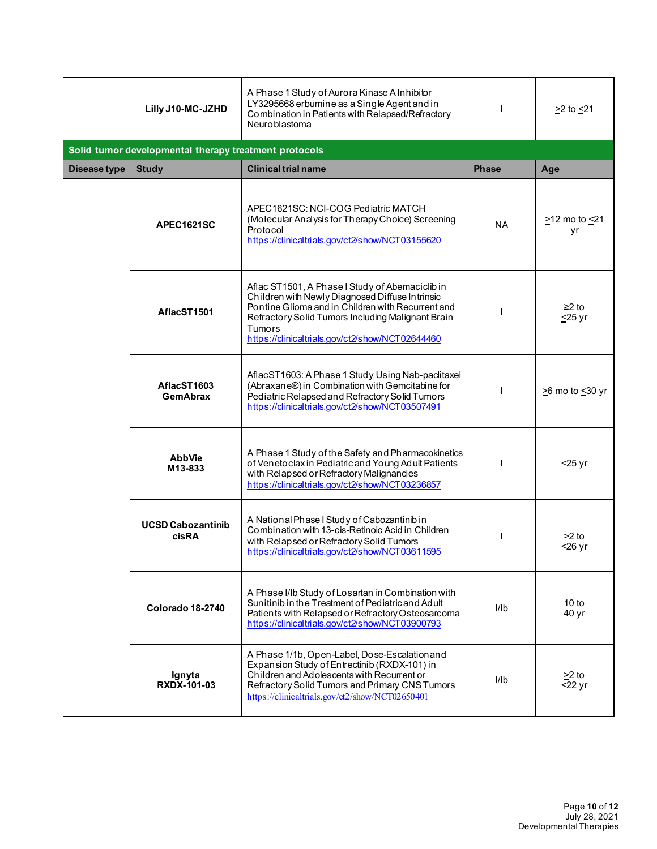|              | Lilly J10-MC-JZHD                                     | A Phase 1 Study of Aurora Kinase A Inhibitor<br>LY3295668 erbumine as a Single Agent and in<br>Combination in Patients with Relapsed/Refractory<br>Neuroblastoma                                                                                                                 |              | $\geq$ 2 to $\leq$ 21          |
|--------------|-------------------------------------------------------|----------------------------------------------------------------------------------------------------------------------------------------------------------------------------------------------------------------------------------------------------------------------------------|--------------|--------------------------------|
|              | Solid tumor developmental therapy treatment protocols |                                                                                                                                                                                                                                                                                  |              |                                |
| Disease type | <b>Study</b>                                          | <b>Clinical trial name</b>                                                                                                                                                                                                                                                       | <b>Phase</b> | Age                            |
|              | APEC1621SC                                            | APEC1621SC: NCI-COG Pediatric MATCH<br>(Molecular Analysis for Therapy Choice) Screening<br>Protocol<br>https://clinicaltrials.gov/ct2/show/NCT03155620                                                                                                                          | NA.          | ≥12 mo to <u>&lt;</u> 21<br>yr |
|              | AflacST1501                                           | Aflac ST1501, A Phase I Study of Abemaciclib in<br>Children with Newly Diagnosed Diffuse Intrinsic<br>Pontine Glioma and in Children with Recurrent and<br>Refractory Solid Tumors Including Malignant Brain<br><b>Tumors</b><br>https://clinicaltrials.gov/ct2/show/NCT02644460 |              | $≥2$ to<br>$\leq$ 25 yr        |
|              | AflacST1603<br><b>GemAbrax</b>                        | AflacST1603: A Phase 1 Study Using Nab-paclitaxel<br>(Abraxane®) in Combination with Gemcitabine for<br>Pediatric Relapsed and Refractory Solid Tumors<br>https://clinicaltrials.gov/ct2/show/NCT03507491                                                                        |              | $\geq$ 6 mo to $\leq$ 30 yr    |
|              | <b>AbbVie</b><br>M13-833                              | A Phase 1 Study of the Safety and Pharmacokinetics<br>of Venetoclax in Pediatric and Young Adult Patients<br>with Relapsed or Refractory Malignancies<br>https://clinicaltrials.gov/ct2/show/NCT03236857                                                                         |              | $<$ 25 yr                      |
|              | <b>UCSD Cabozantinib</b><br>cisRA                     | A National Phase I Study of Cabozantinib in<br>Combination with 13-cis-Retinoic Acid in Children<br>with Relapsed or Refractory Solid Tumors<br>https://clinicaltrials.gov/ct2/show/NCT03611595                                                                                  |              | >2 to<br>$\leq$ 26 yr          |
|              | Colorado 18-2740                                      | A Phase I/Ib Study of Losartan in Combination with<br>Sunitinib in the Treatment of Pediatric and Adult<br>Patients with Relapsed or Refractory Osteosarcoma<br>https://dinicaltrials.gov/ct2/show/NCT03900793                                                                   | I/Ib         | 10 to<br>40 yr                 |
|              | Ignyta<br><b>RXDX-101-03</b>                          | A Phase 1/1b, Open-Label, Dose-Escalationand<br>Expansion Study of Entrectinib (RXDX-101) in<br>Children and Adolescents with Recurrent or<br>Refractory Solid Tumors and Primary CNS Tumors<br>https://clinicaltrials.gov/ct2/show/NCT02650401                                  | I/Ib         | $>2$ to<br>$\overline{5}22$ yr |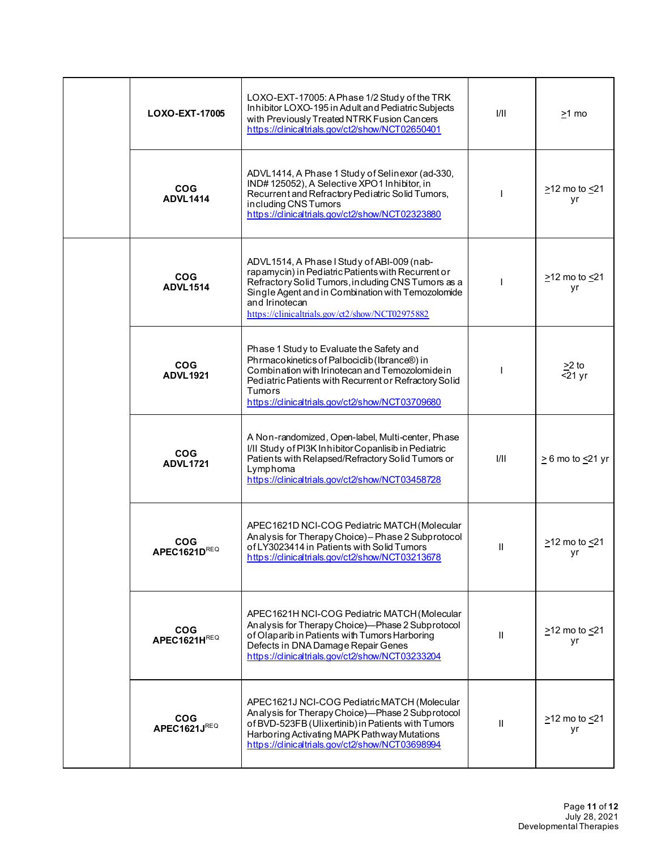| LOXO-EXT-17005                | LOXO-EXT-17005: A Phase 1/2 Study of the TRK<br>Inhibitor LOXO-195 in Adult and Pediatric Subjects<br>with Previously Treated NTRK Fusion Cancers<br>https://clinicaltrials.gov/ct2/show/NCT02650401                                                                             | I/II          | >1 mo                           |
|-------------------------------|----------------------------------------------------------------------------------------------------------------------------------------------------------------------------------------------------------------------------------------------------------------------------------|---------------|---------------------------------|
| <b>COG</b><br><b>ADVL1414</b> | ADVL1414, A Phase 1 Study of Selinexor (ad-330,<br>IND#125052), A Selective XPO1 Inhibitor, in<br>Recurrent and Refractory Pediatric Solid Tumors,<br>including CNS Tumors<br>https://clinicaltrials.gov/ct2/show/NCT02323880                                                    |               | $\geq$ 12 mo to $\leq$ 21<br>yr |
| <b>COG</b><br><b>ADVL1514</b> | ADVL1514, A Phase I Study of ABI-009 (nab-<br>rapamycin) in Pediatric Patients with Recurrent or<br>Refractory Solid Tumors, including CNS Tumors as a<br>Single Agent and in Combination with Temozolomide<br>and Irinotecan<br>https://clinicaltrials.gov/ct2/show/NCT02975882 |               | $\geq$ 12 mo to $\leq$ 21<br>yr |
| <b>COG</b><br><b>ADVL1921</b> | Phase 1 Study to Evaluate the Safety and<br>Phrmacokinetics of Palbociclib (Ibrance®) in<br>Combination with Irinotecan and Temozolomide in<br>Pediatric Patients with Recurrent or Refractory Solid<br><b>Tumors</b><br>https://clinicaltrials.gov/ct2/show/NCT03709680         |               | $\geq$ 2 to<br>$<$ 21 yr        |
| <b>COG</b><br><b>ADVL1721</b> | A Non-randomized, Open-label, Multi-center, Phase<br>I/II Study of PI3K Inhibitor Copanlisib in Pediatric<br>Patients with Relapsed/Refractory Solid Tumors or<br>Lymphoma<br>https://clinicaltrials.gov/ct2/show/NCT03458728                                                    | 1/11          | $\geq 6$ mo to $\leq 21$ yr     |
| <b>COG</b><br>APEC1621DREQ    | APEC1621D NCI-COG Pediatric MATCH (Molecular<br>Analysis for Therapy Choice) - Phase 2 Subprotocol<br>of LY3023414 in Patients with Solid Tumors<br>https://clinicaltrials.gov/ct2/show/NCT03213678                                                                              | Ш             | $\geq$ 12 mo to $\leq$ 21<br>yr |
| <b>COG</b><br>APEC1621HREQ    | APEC1621H NCI-COG Pediatric MATCH (Molecular<br>Analysis for Therapy Choice)-Phase 2 Subprotocol<br>of Olaparib in Patients with Tumors Harboring<br>Defects in DNA Damage Repair Genes<br>https://dinicaltrials.gov/ct2/show/NCT03233204                                        | $\mathbf{II}$ | $\geq$ 12 mo to $\leq$ 21<br>yr |
| <b>COG</b><br>APEC1621JREQ    | APEC1621J NCI-COG Pediatric MATCH (Molecular<br>Analysis for Therapy Choice)-Phase 2 Subprotocol<br>of BVD-523FB (Ulixertinib) in Patients with Tumors<br>Harboring Activating MAPK Pathway Mutations<br>https://clinicaltrials.gov/ct2/show/NCT03698994                         | $\mathbf{II}$ | $\geq$ 12 mo to $\leq$ 21<br>yr |